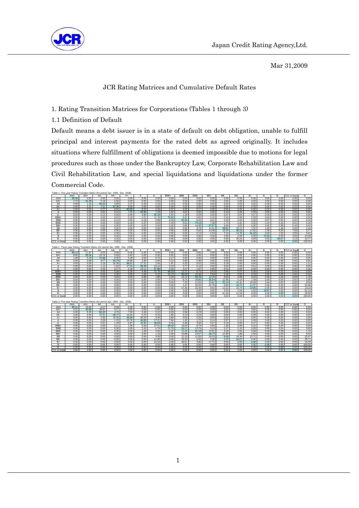

Mar 31,2009

### JCR Rating Matrices and Cumulative Default Rates

1. Rating Transition Matrices for Corporations (Tables 1 through 3)

1.1 Definition of Default

Table 1. One-year Rating Transition Matrix (for period Jan. 1998 - Dec. 2008)

Default means a debt issuer is in a state of default on debt obligation, unable to fulfill principal and interest payments for the rated debt as agreed originally. It includes situations where fulfillment of obligations is deemed impossible due to motions for legal procedures such as those under the Bankruptcy Law, Corporate Rehabilitation Law and Civil Rehabilitation Law, and special liquidations and liquidations under the former Commercial Code.

|                    | AAA          | AA+          | AA         | iaulo I. Ono-year Rating Transitium matrix (für penuu Jain. 1990 - Dec. 2000<br>AA-    | A+           | A            | A٠         | BBB+         | <b>BBB</b> | BBB-  | BB+   | BB        | BB-   | B+           | в     | в.    | CCC or lowe | D      |
|--------------------|--------------|--------------|------------|----------------------------------------------------------------------------------------|--------------|--------------|------------|--------------|------------|-------|-------|-----------|-------|--------------|-------|-------|-------------|--------|
| AAA                | 95.38        | 4.62         | 0.00       | 0.00                                                                                   | 0.00         | 0.00         | 0.00       | 0.00         | 0.00       | 0.00  | 0.00  | 0.00      | 0.00  | 0.00         | 0.00  | 0.00  | 0.00        | 0.00   |
| AA+                | 2.73         | 91.29        | 5.18       | 0.50                                                                                   | 0.29         | 0.00         | 0.00       | 0.00         | 0.00       | 0.00  | 0.00  | 0.00      | 0.00  | 0.00         | 0.00  | 0.00  | 0.00        | 0.00   |
| AA                 | 0.58         | 1.16         | 89.34      | 5.89                                                                                   | 2.27         | 0.39         | 0.19       | 0.19         | 0.00       | 0.00  | 0.00  | 0.00      | 0.00  | 0.00         | 0.00  | 0.00  | 0.00        | 0.00   |
| AA-                | 0.00         | 0.31         | 3.31       | 87.06                                                                                  | 8.69         | 0.59         | 0.00       | 0.05         | 0.00       | 0.00  | 0.00  | 0.00      | 0.00  | 0.00         | 0.00  | 0.00  | 0.00        | 0.00   |
| A+                 | 0.00         | 0.00         | 0.27       | 6.91                                                                                   | 83.83        | 8.03         | 0.34       | 0.27         | 0.00       | 0.17  | 0.00  | 0.00      | 0.00  | 0.00         | 0.00  | 0.00  | 0.00        | 0.20   |
| $\overline{A}$     | 0.00         | 0.00         | 0.52       | 0.21                                                                                   | 7.20         | 82.95        | 7.43       | 1.54         | 0.02       | 0.02  | 0.00  | 0.10      | 0.00  | 0.00         | 0.00  | 0.00  | 0.00        | 0.00   |
| A-                 | 0.00         | 0.00         |            | 0.26                                                                                   | 0.46         | 9.89         | 82.18      | 5.54         | 1.29       | 0.09  | 0.00  | 0.07      | 0.04  | 0.07         | 0.00  | 0.00  | 0.00        | 0.00   |
| BBB+               |              |              | 0.12       |                                                                                        |              |              |            |              |            |       |       |           |       |              |       |       |             |        |
|                    | 0.00         | 0.00         | 0.00       | 0.01                                                                                   | 0.18         | 1.01         | 11.78      | 76.55        | 9.31       | 0.81  | 0.16  | 0.10      | 0.00  | 0.03         | 0.04  | 0.00  | 0.00        | 0.00   |
| <b>BBB</b>         | 0.00         | 0.00         | 0.00       | 0.12                                                                                   | 0.00         | 0.18         | 0.88       | 8.33         | 80.94      | 8.42  | 0.61  | 0.23      | 0.02  | 0.00         | 0.07  | 0.02  | 0.00        | 0.16   |
| BBB-               | 0.00         | 0.00         | 0.00       | 0.00                                                                                   | 0.18         | 0.37         | 0.03       | 0.40         | 9.52       | 79.19 | 7.36  | 1.72      | 0.41  | 0.32         | 0.15  | 0.15  | 0.01        | 0.19   |
| BB+                | 0.00         | 0.00         | 0.00       | 0.00                                                                                   | 0.00         | 0.00         | 0.00       | 0.00         | 0.86       | 16.99 | 67.67 | 9.65      | 3.02  | 0.36         | 0.00  | 0.58  | 0.43        | 0.43   |
| BB                 | 0.00         | 0.00         | 0.00       | 0.00                                                                                   | 0.00         | 0.00         | 0.00       | 0.00         | 0.00       | 3.78  | 11.51 | 58.81     | 13.13 | 7.37         | 1.80  | 1.44  | 0.00        | 2.16   |
| BB-                | 0.00         | 0.00         | 0.00       | 0.00                                                                                   | 0.00         | 0.00         | 0.00       | 0.00         | 0.00       | 0.00  | 10.38 | 19.34     | 39.15 | 17.92        | 2.36  | 0.00  | 7.08        | 3.77   |
| B+                 | 0.00         | 0.00         | 0.00       | 0.00                                                                                   | 0.00         | 0.00         | 0.00       | 0.00         | 0.00       | 6.12  | 2.04  | 7.14      | 14.29 | 61.22        | 0.00  | 1.02  | 2.55        | 5.61   |
| B                  | 0.00         | 0.00         | 0.00       | 0.00                                                                                   | 0.00         | 0.00         | 0.00       | 0.00         | 0.00       | 0.00  | 0.00  | 0.00      | 0.00  | 0.00         | 73.26 | 0.00  | 4.65        | 22.09  |
| B-                 | 0.00         | 0.00         | 0.00       | 0.00                                                                                   | 0.00         | 0.00         | 0.00       | 0.00         | 0.00       | 0.00  | 0.00  | 0.00      | 25.53 | 0.00         | 0.00  | 59.57 | 2.13        | 12.77  |
| <b>CCC</b> or lowe | 0.00         | 0.00         | 0.00       | 0.00                                                                                   | 0.00         | 0.00         | 0.00       | 0.00         | 0.00       | 0.00  | 0.00  | 0.00      | 0.00  | 0.00         | 0.00  | 0.00  | 0.00        | 100.00 |
|                    |              |              |            |                                                                                        |              |              |            |              |            |       |       |           |       |              |       |       |             |        |
|                    |              |              |            | Table 2. Three-year Rating Transition Matrix (for period Jan. 1998 - Dec. 2008)<br>AA- |              |              |            | BBB+         | <b>BBB</b> | BBB-  | BB+   | BB        | BB-   | $B +$        | в     | в.    | CCC or lowe | Þ      |
| AAA                | AAA<br>88.13 | AA+<br>11.87 | AA<br>0.00 |                                                                                        | $A+$         | A<br>0.00    | А-<br>0.00 |              | 0.00       | 0.00  | 0.00  | 0.00      | 0.00  | 0.00         | 0.00  | 0.00  | 0.00        | 0.00   |
| $AA+$              | 8.80         | 65.34        | 19.74      | 0.00<br>5.69                                                                           | 0.00<br>0.43 | 0.00         | 0.00       | 0.00<br>0.00 | 0.00       | 0.00  | 0.00  | 0.00      | 0.00  | 0.00         | 0.00  | 0.00  | 0.00        | 0.00   |
| AA                 | 1.09         | 5.43         | 75.98      | 6.30                                                                                   | 5.28         | 3.04         | 0.72       | 2.17         | 0.00       | 0.00  | 0.00  | 0.00      | 0.00  | 0.00         | 0.00  | 0.00  | 0.00        | 0.00   |
| AA-                |              |              |            |                                                                                        |              |              |            |              |            |       |       |           |       |              |       |       |             |        |
|                    | 0.00         | 0.69         | 9.27       | 66.74                                                                                  | 18.98        | 3.35         | 0.40       | 0.22         | 0.00       | 0.36  | 0.00  | 0.00      | 0.00  | 0.00         | 0.00  | 0.00  | 0.00        | 0.00   |
| A+                 | 0.00         | 0.00         | 2.19       | 16.39                                                                                  | 58.97        | 17.31        | 1.64       | 1.87         | 0.32       | 0.02  | 0.00  | 0.18      | 0.00  | 0.00         | 0.00  | 0.00  | 0.00        | 1.11   |
| A                  | 0.00         | 0.00         | 1.13       | 1.62                                                                                   | 17.04        | 58.36        | 14.16      | 6.19         | 0.77       | 0.14  | 0.00  | 0.04      | 0.05  | 0.51         | 0.00  | 0.00  | 0.00        | 0.00   |
| A-                 | 0.00         | 0.00         | 0.33       | 0.27                                                                                   | 3.29         | 23.11        | 57.85      | 9.33         | 3.27       | 1.97  | 0.05  | 0.01      | 0.00  | 0.35         | 0.00  | 0.00  | 0.00        | 0.16   |
| BBB+               | 0.00         | 0.00         | 0.00       | 0.00                                                                                   | 0.28         | 4.48         | 22.78      | 49.23        | 15.27      | 6.75  | 0.53  | 0.55      | 0.07  | 0.05         | 0.00  | 0.02  | 0.00        | 0.00   |
| <b>BBB</b>         | 0.00         | 0.00         | 0.00       | 0.30                                                                                   | 0.00         | 1.65         | 4.12       | 16.13        | 59.26      | 15.36 | 2.04  | 0.44      | 0.02  | 0.29         | 0.00  | 0.06  | 0.00        | 0.34   |
| <b>BBB</b>         | 0.00         | 0.00         | 0.00       | 0.09                                                                                   | 0.00         | 0.68         | 1.80       | 3.29         | 19.14      | 55.76 | 12.25 | 3.60      | 0.90  | 0.23         | 0.00  | 1.04  | 0.09        | 1.15   |
| BB+                | 0.00         | 0.00         | 0.00       | 0.00                                                                                   | 0.00         | 0.00         | 0.68       | 2.73         | 8.75       | 28.86 | 35.34 | 12.95     | 6.14  | 1.59         | 0.00  | 0.00  | 0.00        | 2.95   |
| <b>BB</b>          | 0.00         | 0.00         | 0.00       | 0.00                                                                                   | 0.00         | 0.00         | 0.00       | 0.00         | 7.25       | 11.83 | 24.81 | 22.14     | 10.31 | 10.69        | 3.44  | 0.00  | 0.00        | 9.54   |
| BB-                | 0.00         | 0.00         | 0.00       | 0.00                                                                                   | 0.00         | 0.00         | 0.00       | 0.00         | 1.47       | 25.00 | 22.79 | 0.00      | 14.71 | 13.97        | 0.00  | 0.00  | 0.00        | 22.06  |
| $B+$               | 0.00         | 0.00         | 0.00       | 0.00                                                                                   | 0.00         | 0.00         | 0.00       | 0.00         | 17.36      | 21.49 | 9.92  | 13.22     | 10.74 | 14.05        | 0.00  | 0.00  | 0.00        | 13.22  |
| B                  | 0.00         | 0.00         | 0.00       | 0.00                                                                                   | 0.00         | 0.00         | 0.00       | 0.00         | 0.00       | 0.00  | 0.00  | 0.00      | 0.00  | 0.00         | 18.87 | 0.00  | 0.00        | 81.13  |
| B-                 | 0.00         | 0.00         | 0.00       | 0.00                                                                                   | 0.00         | 0.00         | 0.00       | 0.00         | 0.00       | 0.00  | 0.00  | 61.54     | 11.54 | 0.00         | 0.00  | 0.00  | 0.00        | 26.92  |
| CCC or lowe        | 0.00         | 0.00         | 0.00       | 0.00                                                                                   | 0.00         | 0.00         | 0.00       | 0.00         | 0.00       | 0.00  | 0.00  | 0.00      | 0.00  | 0.00         | 0.00  | 0.00  | 0.00        | 100.00 |
|                    |              |              |            | Table 3. Five-year Rating Transition Matrix (for period Jan. 1998 - Dec. 2008)         |              |              |            |              |            |       |       |           |       |              |       |       |             |        |
|                    | AAA          | AA+          | AA         | AA-                                                                                    | A+           | A            | A-         | BBB+         | <b>BBB</b> | BBB-  | BB+   | <b>BB</b> | BB-   | $B +$        | в     | в.    | CCC or lowe | D      |
| AAA                | 83.11        | 16.62        | 0.27       | 0.00                                                                                   | 0.00         | 0.00         | 0.00       | 0.00         | 0.00       | 0.00  | 0.00  | 0.00      | 0.00  | 0.00         | 0.00  | 0.00  | 0.00        | 0.00   |
| AA+                | 9.31         | 46.85        | 34.67      | 9.17                                                                                   | 0.00         | 0.00         | 0.00       | 0.00         | 0.00       | 0.00  | 0.00  | 0.00      | 0.00  | 0.00         | 0.00  | 0.00  | 0.00        | 0.00   |
| AA                 | 0.00         | 9.32         | 66.32      | 4.78                                                                                   | 7.93         |              | 2.10       |              | 0.58       | 0.23  | 0.00  | 0.00      | 0.00  |              | 0.00  | 0.00  | 0.00        | 0.00   |
| AA-                | 0.05         | 0.54         |            | 58.77                                                                                  | 19.64        | 2.45<br>5.75 | 0.15       | 6.29<br>1.90 | 0.10       | 0.19  | 0.00  | 0.00      | 0.00  | 0.00<br>0.00 | 0.00  | 0.00  | 0.00        | 0.00   |
| A+                 |              |              | 12.91      |                                                                                        |              |              |            |              | 0.00       | 0.26  |       | 0.00      |       |              |       |       | 0.00        |        |
|                    | 0.00         | 0.00         | 2.93       | 16.35                                                                                  | 49.98        | 20.63        | 3.26       | 3.88         |            |       | 0.00  |           | 0.07  | 0.59         | 0.00  | 0.00  |             | 2.04   |
| $\overline{A}$     | 0.00         | 0.00         | 2.08       | 1.23                                                                                   | 20.76        | 46.85        | 17.21      | 7.84         | 1.42       | 1.72  | 0.14  | 0.57      | 0.11  | 0.05         | 0.00  | 0.03  | 0.00        | 0.00   |
| A-                 | 0.00         | 0.00         | 0.91       | 1.28                                                                                   | 6.87         | 25.95        | 46.59      | 9.45         | 4.48       | 3.36  | 0.37  | 0.10      | 0.00  | 0.17         | 0.00  | 0.23  | 0.00        | 0.23   |
| BBB+               | 0.00         | 0.00         | 0.00       | 0.11                                                                                   | 1.00         | 5.56         | 27.01      | 38.42        | 16.64      | 8.74  | 0.56  | 1.30      | 0.00  | 0.22         | 0.00  | 0.44  | 0.00        | 0.00   |
| <b>BBB</b>         | 0.00         | 0.00         | 0.00       | 0.30                                                                                   | 0.05         | 3.20         | 4.74       | 21.78        | 52.17      | 13.79 | 3.10  | 0.17      | 0.10  | 0.00         | 0.00  | 0.00  | 0.00        | 0.60   |
| BBB-               | 0.00         | 0.00         | 0.00       | 0.39                                                                                   | 0.00         | 1.28         | 2.55       | 5.37         | 21.25      | 51.43 | 10.51 | 3.28      | 2.05  | 0.08         | 0.00  | 0.08  | 0.00        | 1.74   |
| BB+                | 0.00         | 0.00         | 0.00       | 0.00                                                                                   | 0.00         | 0.00         | 1.16       | 2.09         | 20.88      | 23.67 | 28.77 | 12.99     | 1.86  | 2.55         | 0.00  | 0.00  | 0.00        | 6.03   |
| <b>BB</b>          | 0.00         | 0.00         | 0.00       | 0.00                                                                                   | 0.00         | 0.00         | 0.00       | 0.00         | 22.10      | 11.05 | 18.23 | 6.08      | 14.36 | 12.71        | 0.00  | 0.00  | 0.00        | 15.47  |
| BB-                | 0.00         | 0.00         | 0.00       | 0.00                                                                                   | 0.00         | 0.00         | 11.90      | 0.00         | 33.33      | 0.00  | 2.38  | 0.00      | 16.67 | 0.00         | 0.00  | 0.00  | 0.00        | 35.71  |
| $B+$               | 0.00         | 0.00         | 0.00       | 0.00                                                                                   | 0.00         | 0.00         | 21.52      | 0.00         | 40.51      | 3.80  | 17.72 | 0.00      | 0.00  | 0.00         | 0.00  | 0.00  | 0.00        | 16.46  |
| B                  | 0.00         | 0.00         | 0.00       | 0.00                                                                                   | 0.00         | 0.00         | 0.00       | 0.00         | 0.00       | 0.00  | 0.00  | 0.00      | 0.00  | 0.00         | 0.00  | 0.00  | 0.00        | 100.00 |
| B-                 | 0.00         | 0.00         | 0.00       | 0.00                                                                                   | 0.00         | 0.00         | 0.00       | 0.00         | 0.00       | 0.00  | 0.00  | 0.00      | 0.00  | 0.00         | 0.00  | 0.00  | 0.00        | 100.00 |
| CCC or lowe        | 0.00         | 0.00         | 0.00       | 0.00                                                                                   | 0.00         | 0.00         | 0.00       | 0.00         | 0.00       | 0.00  | 0.00  | 0.00      | 0.00  | 0.00         | 0.00  | 0.00  | 0.00        | 100.00 |
|                    |              |              |            |                                                                                        |              |              |            |              |            |       |       |           |       |              |       |       |             |        |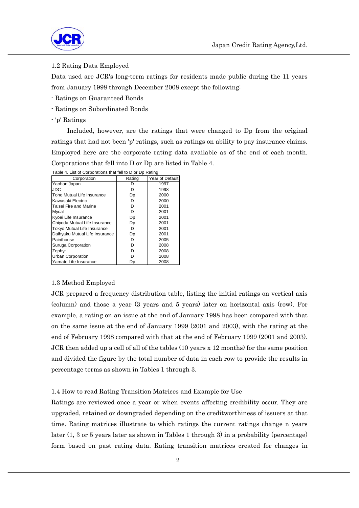

1.2 Rating Data Employed

Data used are JCR's long-term ratings for residents made public during the 11 years from January 1998 through December 2008 except the following:

- Ratings on Guaranteed Bonds
- Ratings on Subordinated Bonds
- 'p' Ratings

 Included, however, are the ratings that were changed to Dp from the original ratings that had not been 'p' ratings, such as ratings on ability to pay insurance claims. Employed here are the corporate rating data available as of the end of each month. Corporations that fell into D or Dp are listed in Table 4.

| Corporation                    | Rating | Year of Default |
|--------------------------------|--------|-----------------|
| Yaohan Japan                   |        | 1997            |
| JDC                            | D      | 1998            |
| Toho Mutual Life Insurance     | Dp     | 2000            |
| Kawasaki Electric              | D      | 2000            |
| Taisei Fire and Marine         | D      | 2001            |
| Mycal                          | D      | 2001            |
| Kyoei Life Insurance           | Dp     | 2001            |
| Chiyoda Mutual Life Insurance  | Dp     | 2001            |
| Tokyo Mutual Life Insurance    | n      | 2001            |
| Daihyaku Mutual Life Insurance | Dp     | 2001            |
| Painthouse                     | D      | 2005            |
| Suruga Corporation             | D      | 2008            |
| Zephyr                         | D      | 2008            |
| <b>Urban Corporation</b>       |        | 2008            |
| Yamato Life Insurance          | Dр     | 2008            |

Table 4. List of Corporations that fell to D or Dp Rating

#### 1.3 Method Employed

JCR prepared a frequency distribution table, listing the initial ratings on vertical axis (column) and those a year (3 years and 5 years) later on horizontal axis (row). For example, a rating on an issue at the end of January 1998 has been compared with that on the same issue at the end of January 1999 (2001 and 2003), with the rating at the end of February 1998 compared with that at the end of February 1999 (2001 and 2003). JCR then added up a cell of all of the tables (10 years x 12 months) for the same position and divided the figure by the total number of data in each row to provide the results in percentage terms as shown in Tables 1 through 3.

#### 1.4 How to read Rating Transition Matrices and Example for Use

Ratings are reviewed once a year or when events affecting credibility occur. They are upgraded, retained or downgraded depending on the creditworthiness of issuers at that time. Rating matrices illustrate to which ratings the current ratings change n years later (1, 3 or 5 years later as shown in Tables 1 through 3) in a probability (percentage) form based on past rating data. Rating transition matrices created for changes in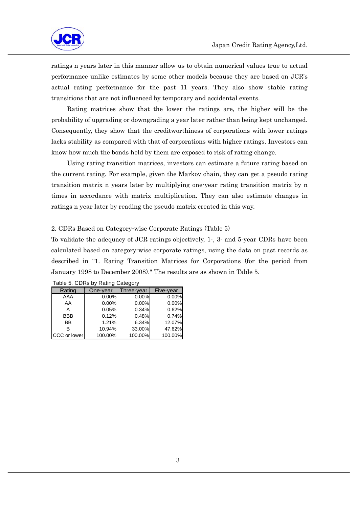

ratings n years later in this manner allow us to obtain numerical values true to actual performance unlike estimates by some other models because they are based on JCR's actual rating performance for the past 11 years. They also show stable rating transitions that are not influenced by temporary and accidental events.

 Rating matrices show that the lower the ratings are, the higher will be the probability of upgrading or downgrading a year later rather than being kept unchanged. Consequently, they show that the creditworthiness of corporations with lower ratings lacks stability as compared with that of corporations with higher ratings. Investors can know how much the bonds held by them are exposed to risk of rating change.

 Using rating transition matrices, investors can estimate a future rating based on the current rating. For example, given the Markov chain, they can get a pseudo rating transition matrix n years later by multiplying one-year rating transition matrix by n times in accordance with matrix multiplication. They can also estimate changes in ratings n year later by reading the pseudo matrix created in this way.

### 2. CDRs Based on Category-wise Corporate Ratings (Table 5)

To validate the adequacy of JCR ratings objectively, 1-, 3- and 5-year CDRs have been calculated based on category-wise corporate ratings, using the data on past records as described in "1. Rating Transition Matrices for Corporations (for the period from January 1998 to December 2008)." The results are as shown in Table 5.

| Rating              | One-year | Three-vear | Five-year |
|---------------------|----------|------------|-----------|
| AAA                 | 0.00%    | 0.00%      | 0.00%     |
| AA                  | 0.00%    | 0.00%      | 0.00%     |
| А                   | 0.05%    | 0.34%      | 0.62%     |
| <b>BBB</b>          | 0.12%    | 0.48%      | 0.74%     |
| BB                  | 1.21%    | 6.34%      | 12.07%    |
| R                   | 10.94%   | 33.00%     | 47.62%    |
| <b>CCC</b> or lower | 100.00%  | 100.00%    | 100.00%   |

Table 5. CDRs by Rating Category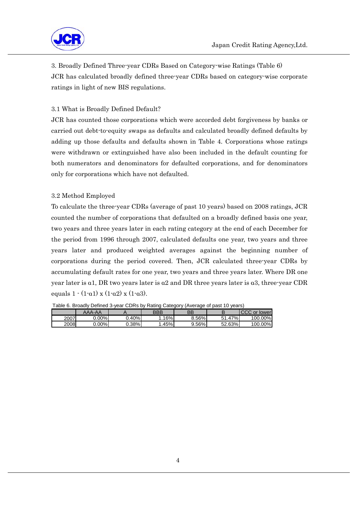

3. Broadly Defined Three-year CDRs Based on Category-wise Ratings (Table 6) JCR has calculated broadly defined three-year CDRs based on category-wise corporate ratings in light of new BIS regulations.

# 3.1 What is Broadly Defined Default?

JCR has counted those corporations which were accorded debt forgiveness by banks or carried out debt-to-equity swaps as defaults and calculated broadly defined defaults by adding up those defaults and defaults shown in Table 4. Corporations whose ratings were withdrawn or extinguished have also been included in the default counting for both numerators and denominators for defaulted corporations, and for denominators only for corporations which have not defaulted.

## 3.2 Method Employed

To calculate the three-year CDRs (average of past 10 years) based on 2008 ratings, JCR counted the number of corporations that defaulted on a broadly defined basis one year, two years and three years later in each rating category at the end of each December for the period from 1996 through 2007, calculated defaults one year, two years and three years later and produced weighted averages against the beginning number of corporations during the period covered. Then, JCR calculated three-year CDRs by accumulating default rates for one year, two years and three years later. Where DR one year later is  $a1$ , DR two years later is  $a2$  and DR three years later is  $a3$ , three-year CDR equals  $1 \cdot (1 \cdot \alpha) \times (1 \cdot \alpha) \times (1 \cdot \alpha)$ .

|      | AAA-AA   |        | BBE | BB    |                  | CCC.<br>$\alpha$<br>lower |
|------|----------|--------|-----|-------|------------------|---------------------------|
| 2007 | $J.00\%$ | 0.40%l | 16% | 8.56% | $7\%$ .<br>51.47 | 100.00%                   |
| 2008 | 0.00%l   | 0.38%l | 45% | 9.56% | 52.63%           | 100.00%                   |

Table 6. Broadly Defined 3-year CDRs by Rating Category (Average of past 10 years)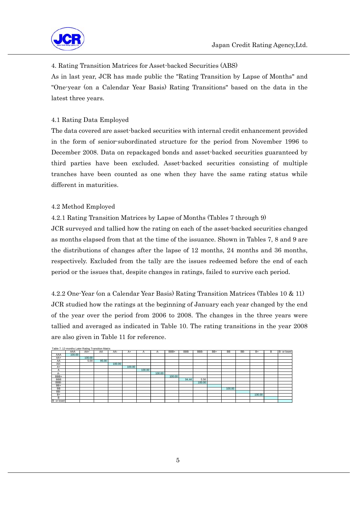

## 4. Rating Transition Matrices for Asset-backed Securities (ABS)

As in last year, JCR has made public the "Rating Transition by Lapse of Months" and "One-year (on a Calendar Year Basis) Rating Transitions" based on the data in the latest three years.

## 4.1 Rating Data Employed

The data covered are asset-backed securities with internal credit enhancement provided in the form of senior-subordinated structure for the period from November 1996 to December 2008. Data on repackaged bonds and asset-backed securities guaranteed by third parties have been excluded. Asset-backed securities consisting of multiple tranches have been counted as one when they have the same rating status while different in maturities.

## 4.2 Method Employed

## 4.2.1 Rating Transition Matrices by Lapse of Months (Tables 7 through 9)

JCR surveyed and tallied how the rating on each of the asset-backed securities changed as months elapsed from that at the time of the issuance. Shown in Tables 7, 8 and 9 are the distributions of changes after the lapse of 12 months, 24 months and 36 months, respectively. Excluded from the tally are the issues redeemed before the end of each period or the issues that, despite changes in ratings, failed to survive each period.

4.2.2 One-Year (on a Calendar Year Basis) Rating Transition Matrices (Tables 10 & 11) JCR studied how the ratings at the beginning of January each year changed by the end of the year over the period from 2006 to 2008. The changes in the three years were tallied and averaged as indicated in Table 10. The rating transitions in the year 2008 are also given in Table 11 for reference.

|             | Table 7. 12-months Later Rating Transition Matrix |        |       |        |        |        |        |        |            |        |     |           |     |        |   |             |
|-------------|---------------------------------------------------|--------|-------|--------|--------|--------|--------|--------|------------|--------|-----|-----------|-----|--------|---|-------------|
|             | AAA                                               | AA+    | AA    | AA-    | $A+$   | А      | $A-$   | BBB+   | <b>BBB</b> | BBB-   | BB+ | <b>BB</b> | BB- | $B+$   | B | B- or lower |
| AAA         | 100.00                                            |        |       |        |        |        |        |        |            |        |     |           |     |        |   |             |
| AA+         |                                                   | 100.00 |       |        |        |        |        |        |            |        |     |           |     |        |   |             |
| AA          |                                                   | 5.00   | 95.00 |        |        |        |        |        |            |        |     |           |     |        |   |             |
| AA-         |                                                   |        |       | 100.00 |        |        |        |        |            |        |     |           |     |        |   |             |
| $A+$        |                                                   |        |       |        | 100.00 |        |        |        |            |        |     |           |     |        |   |             |
| A           |                                                   |        |       |        |        | 100.00 |        |        |            |        |     |           |     |        |   |             |
| $A-$        |                                                   |        |       |        |        |        | 100.00 |        |            |        |     |           |     |        |   |             |
| BBB+        |                                                   |        |       |        |        |        |        | 100.00 |            |        |     |           |     |        |   |             |
| <b>BBB</b>  |                                                   |        |       |        |        |        |        |        | 94.44      | 5.56   |     |           |     |        |   |             |
| BBB-        |                                                   |        |       |        |        |        |        |        |            | 100.00 |     |           |     |        |   |             |
| $BB+$       |                                                   |        |       |        |        |        |        |        |            |        |     |           |     |        |   |             |
| <b>BB</b>   |                                                   |        |       |        |        |        |        |        |            |        |     | 100.00    |     |        |   |             |
| BB-         |                                                   |        |       |        |        |        |        |        |            |        |     |           |     |        |   |             |
| $B+$        |                                                   |        |       |        |        |        |        |        |            |        |     |           |     | 100.00 |   |             |
| в           |                                                   |        |       |        |        |        |        |        |            |        |     |           |     |        |   |             |
| B- or lower |                                                   |        |       |        |        |        |        |        |            |        |     |           |     |        |   |             |